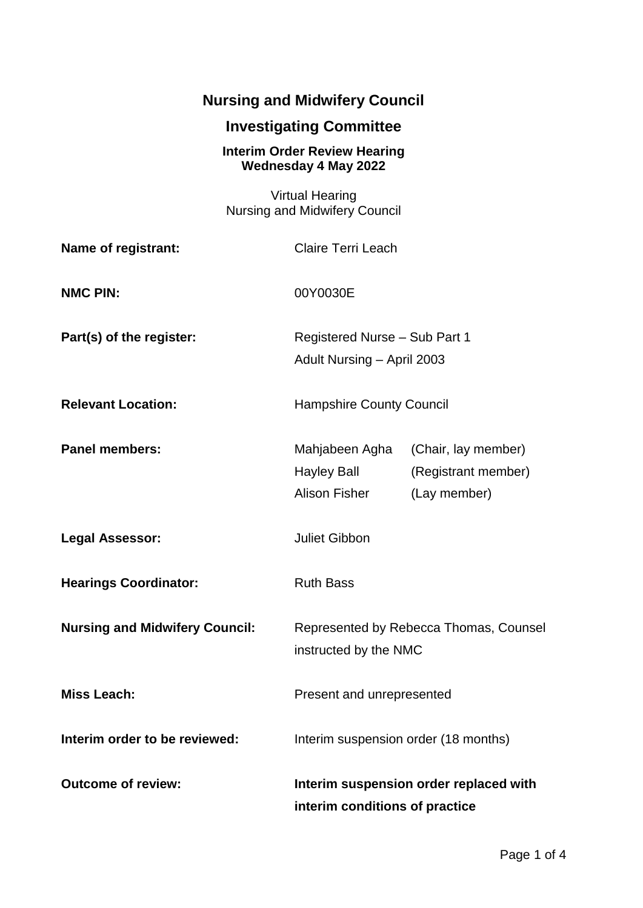## **Nursing and Midwifery Council**

## **Investigating Committee**

## **Interim Order Review Hearing Wednesday 4 May 2022**

| <b>Virtual Hearing</b><br><b>Nursing and Midwifery Council</b> |                                                                          |                                                            |
|----------------------------------------------------------------|--------------------------------------------------------------------------|------------------------------------------------------------|
| Name of registrant:                                            | <b>Claire Terri Leach</b>                                                |                                                            |
| <b>NMC PIN:</b>                                                | 00Y0030E                                                                 |                                                            |
| Part(s) of the register:                                       | Registered Nurse - Sub Part 1<br>Adult Nursing - April 2003              |                                                            |
| <b>Relevant Location:</b>                                      | <b>Hampshire County Council</b>                                          |                                                            |
| <b>Panel members:</b>                                          | Mahjabeen Agha<br>Hayley Ball<br>Alison Fisher                           | (Chair, lay member)<br>(Registrant member)<br>(Lay member) |
| <b>Legal Assessor:</b>                                         | <b>Juliet Gibbon</b>                                                     |                                                            |
| <b>Hearings Coordinator:</b>                                   | <b>Ruth Bass</b>                                                         |                                                            |
| <b>Nursing and Midwifery Council:</b>                          | Represented by Rebecca Thomas, Counsel<br>instructed by the NMC          |                                                            |
| <b>Miss Leach:</b>                                             | Present and unrepresented                                                |                                                            |
| Interim order to be reviewed:                                  | Interim suspension order (18 months)                                     |                                                            |
| <b>Outcome of review:</b>                                      | Interim suspension order replaced with<br>interim conditions of practice |                                                            |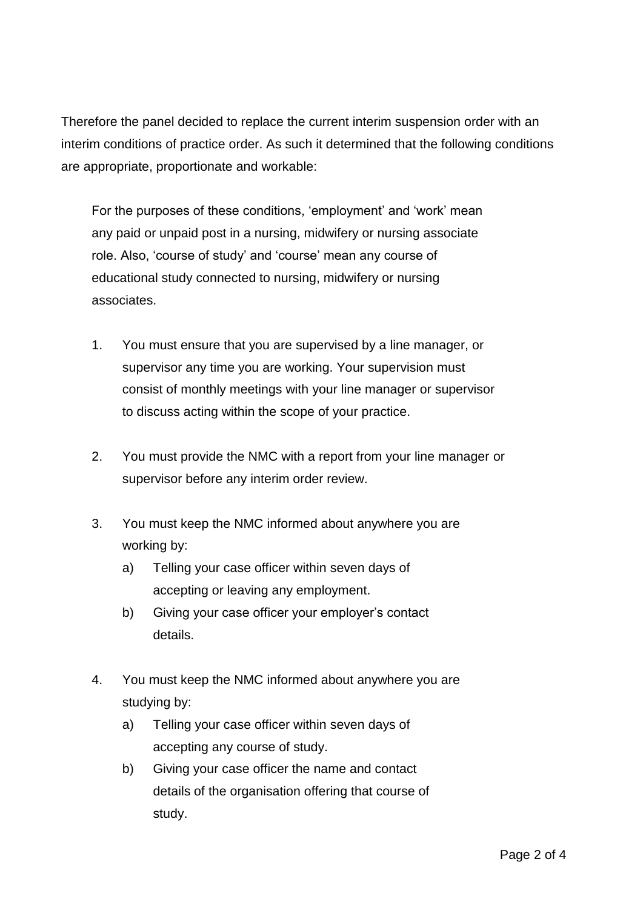Therefore the panel decided to replace the current interim suspension order with an interim conditions of practice order. As such it determined that the following conditions are appropriate, proportionate and workable:

For the purposes of these conditions, 'employment' and 'work' mean any paid or unpaid post in a nursing, midwifery or nursing associate role. Also, 'course of study' and 'course' mean any course of educational study connected to nursing, midwifery or nursing associates.

- 1. You must ensure that you are supervised by a line manager, or supervisor any time you are working. Your supervision must consist of monthly meetings with your line manager or supervisor to discuss acting within the scope of your practice.
- 2. You must provide the NMC with a report from your line manager or supervisor before any interim order review.
- 3. You must keep the NMC informed about anywhere you are working by:
	- a) Telling your case officer within seven days of accepting or leaving any employment.
	- b) Giving your case officer your employer's contact details.
- 4. You must keep the NMC informed about anywhere you are studying by:
	- a) Telling your case officer within seven days of accepting any course of study.
	- b) Giving your case officer the name and contact details of the organisation offering that course of study.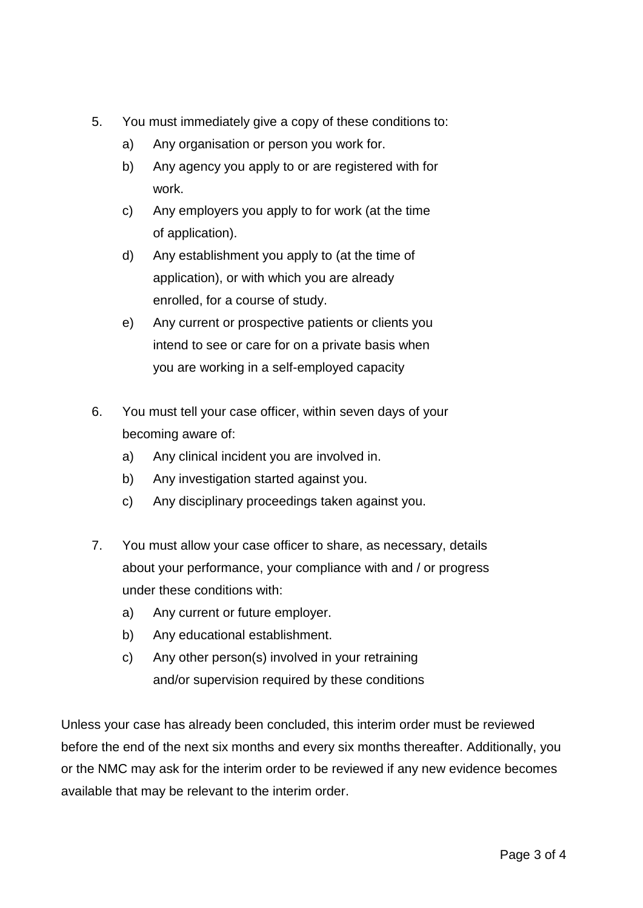- 5. You must immediately give a copy of these conditions to:
	- a) Any organisation or person you work for.
	- b) Any agency you apply to or are registered with for work.
	- c) Any employers you apply to for work (at the time of application).
	- d) Any establishment you apply to (at the time of application), or with which you are already enrolled, for a course of study.
	- e) Any current or prospective patients or clients you intend to see or care for on a private basis when you are working in a self-employed capacity
- 6. You must tell your case officer, within seven days of your becoming aware of:
	- a) Any clinical incident you are involved in.
	- b) Any investigation started against you.
	- c) Any disciplinary proceedings taken against you.
- 7. You must allow your case officer to share, as necessary, details about your performance, your compliance with and / or progress under these conditions with:
	- a) Any current or future employer.
	- b) Any educational establishment.
	- c) Any other person(s) involved in your retraining and/or supervision required by these conditions

Unless your case has already been concluded, this interim order must be reviewed before the end of the next six months and every six months thereafter. Additionally, you or the NMC may ask for the interim order to be reviewed if any new evidence becomes available that may be relevant to the interim order.